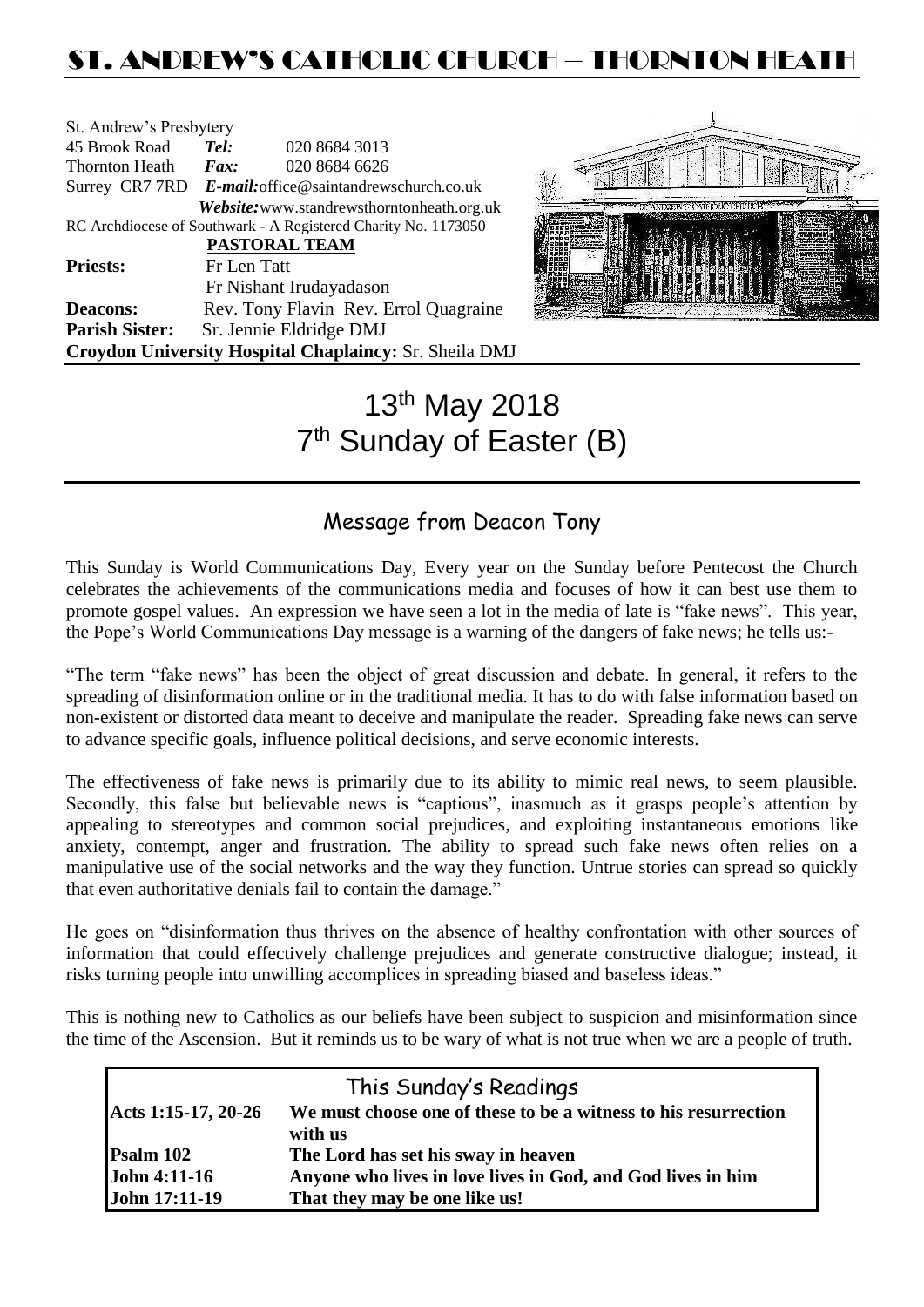## ST. ANDREW'S CATHOLIC CHURCH – THORNTON HEAT

| St. Andrew's Presbytery |                                                        |                                                                |  |  |
|-------------------------|--------------------------------------------------------|----------------------------------------------------------------|--|--|
| 45 Brook Road           | Tel:                                                   | 020 8684 3013                                                  |  |  |
| <b>Thornton Heath</b>   | $\boldsymbol{Fax:}$                                    | 020 8684 6626                                                  |  |  |
|                         | Surrey CR7 7RD E-mail: office@saintandrewschurch.co.uk |                                                                |  |  |
|                         |                                                        | Website: www.standrewsthorntonheath.org.uk                     |  |  |
|                         |                                                        | RC Archdiocese of Southwark - A Registered Charity No. 1173050 |  |  |
|                         |                                                        | <b>PASTORAL TEAM</b>                                           |  |  |
| <b>Priests:</b>         | Fr Len Tatt                                            |                                                                |  |  |
|                         |                                                        | Fr Nishant Irudayadason                                        |  |  |
| <b>Deacons:</b>         |                                                        | Rev. Tony Flavin Rev. Errol Quagraine                          |  |  |
| <b>Parish Sister:</b>   |                                                        | Sr. Jennie Eldridge DMJ                                        |  |  |
|                         |                                                        | Croydon University Hospital Chaplaincy: Sr. Sheila DMJ         |  |  |



# 13th May 2018 7<sup>th</sup> Sunday of Easter (B)

### Message from Deacon Tony

This Sunday is World Communications Day, Every year on the Sunday before Pentecost the Church celebrates the achievements of the communications media and focuses of how it can best use them to promote gospel values. An expression we have seen a lot in the media of late is "fake news". This year, the Pope's World Communications Day message is a warning of the dangers of fake news; he tells us:-

"The term "fake news" has been the object of great discussion and debate. In general, it refers to the spreading of disinformation online or in the traditional media. It has to do with false information based on non-existent or distorted data meant to deceive and manipulate the reader. Spreading fake news can serve to advance specific goals, influence political decisions, and serve economic interests.

The effectiveness of fake news is primarily due to its ability to mimic real news, to seem plausible. Secondly, this false but believable news is "captious", inasmuch as it grasps people's attention by appealing to stereotypes and common social prejudices, and exploiting instantaneous emotions like anxiety, contempt, anger and frustration. The ability to spread such fake news often relies on a manipulative use of the social networks and the way they function. Untrue stories can spread so quickly that even authoritative denials fail to contain the damage."

He goes on "disinformation thus thrives on the absence of healthy confrontation with other sources of information that could effectively challenge prejudices and generate constructive dialogue; instead, it risks turning people into unwilling accomplices in spreading biased and baseless ideas."

This is nothing new to Catholics as our beliefs have been subject to suspicion and misinformation since the time of the Ascension. But it reminds us to be wary of what is not true when we are a people of truth.

|                      | This Sunday's Readings                                          |
|----------------------|-----------------------------------------------------------------|
| Acts 1:15-17, 20-26  | We must choose one of these to be a witness to his resurrection |
|                      | with us                                                         |
| Psalm 102            | The Lord has set his sway in heaven                             |
| <b>John 4:11-16</b>  | Anyone who lives in love lives in God, and God lives in him     |
| <b>John 17:11-19</b> | That they may be one like us!                                   |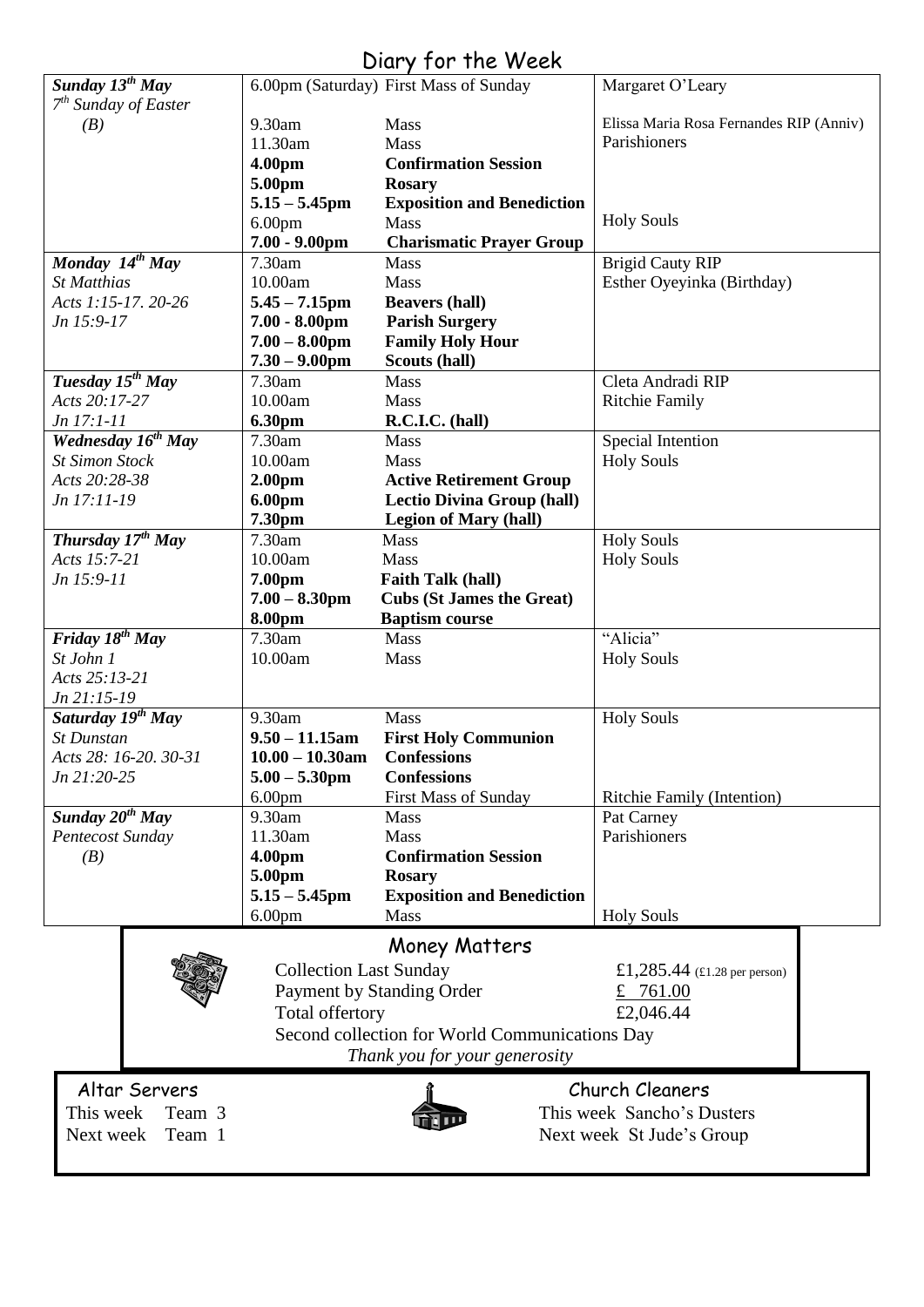### Diary for the Week

| Sunday $13^{th}$ May           |                                                | 6.00pm (Saturday) First Mass of Sunday | Margaret O'Leary                        |  |  |
|--------------------------------|------------------------------------------------|----------------------------------------|-----------------------------------------|--|--|
| $7th$ Sunday of Easter         |                                                |                                        |                                         |  |  |
| (B)                            | 9.30am                                         | Mass                                   | Elissa Maria Rosa Fernandes RIP (Anniv) |  |  |
|                                | 11.30am                                        | Mass                                   | Parishioners                            |  |  |
|                                | 4.00pm                                         | <b>Confirmation Session</b>            |                                         |  |  |
|                                | 5.00pm                                         | <b>Rosary</b>                          |                                         |  |  |
|                                | $5.15 - 5.45$ pm                               | <b>Exposition and Benediction</b>      |                                         |  |  |
|                                | 6.00 <sub>pm</sub>                             | Mass                                   | <b>Holy Souls</b>                       |  |  |
|                                | $7.00 - 9.00$ pm                               | <b>Charismatic Prayer Group</b>        |                                         |  |  |
| Monday 14th May                | 7.30am                                         | Mass                                   | <b>Brigid Cauty RIP</b>                 |  |  |
| <b>St Matthias</b>             | 10.00am                                        | Mass                                   | Esther Oyeyinka (Birthday)              |  |  |
| Acts 1:15-17. 20-26            | $5.45 - 7.15$ pm                               | <b>Beavers (hall)</b>                  |                                         |  |  |
| Jn 15:9-17                     | $7.00 - 8.00$ pm                               | <b>Parish Surgery</b>                  |                                         |  |  |
|                                | $7.00 - 8.00$ pm                               | <b>Family Holy Hour</b>                |                                         |  |  |
|                                | $7.30 - 9.00$ pm                               | Scouts (hall)                          |                                         |  |  |
| Tuesday 15 <sup>th</sup> May   | 7.30am                                         | <b>Mass</b>                            | Cleta Andradi RIP                       |  |  |
| Acts 20:17-27                  | 10.00am                                        | <b>Mass</b>                            | <b>Ritchie Family</b>                   |  |  |
| Jn 17:1-11                     |                                                | R.C.I.C. (hall)                        |                                         |  |  |
|                                | 6.30pm                                         |                                        |                                         |  |  |
| Wednesday 16 <sup>th</sup> May | 7.30am                                         | <b>Mass</b>                            | Special Intention                       |  |  |
| <b>St Simon Stock</b>          | 10.00am                                        | Mass                                   | <b>Holy Souls</b>                       |  |  |
| Acts 20:28-38                  | 2.00 <sub>pm</sub>                             | <b>Active Retirement Group</b>         |                                         |  |  |
| Jn 17:11-19                    | 6.00pm                                         | <b>Lectio Divina Group (hall)</b>      |                                         |  |  |
|                                | 7.30pm                                         | <b>Legion of Mary (hall)</b>           |                                         |  |  |
| Thursday $17^{th}$ May         | 7.30am                                         | Mass                                   | <b>Holy Souls</b>                       |  |  |
| Acts 15:7-21                   | 10.00am                                        | Mass                                   | <b>Holy Souls</b>                       |  |  |
| Jn 15:9-11                     | 7.00pm                                         | <b>Faith Talk (hall)</b>               |                                         |  |  |
|                                | $7.00 - 8.30$ pm                               | <b>Cubs (St James the Great)</b>       |                                         |  |  |
|                                | 8.00pm                                         | <b>Baptism course</b>                  |                                         |  |  |
| Friday $18^{th}$ May           | 7.30am                                         | Mass                                   | "Alicia"                                |  |  |
| St John 1                      | 10.00am                                        | Mass                                   | <b>Holy Souls</b>                       |  |  |
| Acts 25:13-21                  |                                                |                                        |                                         |  |  |
| $Jn$ 21:15-19                  |                                                |                                        |                                         |  |  |
| Saturday 19 <sup>th</sup> May  | 9.30am                                         | Mass                                   | <b>Holy Souls</b>                       |  |  |
| <b>St Dunstan</b>              | $9.50 - 11.15$ am                              | <b>First Holy Communion</b>            |                                         |  |  |
| Acts 28: 16-20. 30-31          | $10.00 - 10.30$ am                             | <b>Confessions</b>                     |                                         |  |  |
| Jn 21:20-25                    | $5.00 - 5.30$ pm                               | <b>Confessions</b>                     |                                         |  |  |
|                                | 6.00 <sub>pm</sub>                             | First Mass of Sunday                   | <b>Ritchie Family (Intention)</b>       |  |  |
| Sunday 20 <sup>th</sup> May    | 9.30am                                         | <b>Mass</b>                            |                                         |  |  |
|                                |                                                |                                        | Pat Carney                              |  |  |
| Pentecost Sunday               | 11.30am                                        | Mass                                   | Parishioners                            |  |  |
| (B)                            | 4.00pm                                         | <b>Confirmation Session</b>            |                                         |  |  |
|                                | 5.00pm                                         | <b>Rosary</b>                          |                                         |  |  |
|                                | $5.15 - 5.45$ pm                               | <b>Exposition and Benediction</b>      |                                         |  |  |
|                                | 6.00 <sub>pm</sub>                             | Mass                                   | <b>Holy Souls</b>                       |  |  |
|                                |                                                | <b>Money Matters</b>                   |                                         |  |  |
|                                | <b>Collection Last Sunday</b>                  |                                        |                                         |  |  |
|                                |                                                |                                        | £1,285.44 (£1.28 per person)            |  |  |
|                                |                                                | Payment by Standing Order              | £ $761.00$                              |  |  |
|                                | Total offertory                                |                                        | £2,046.44                               |  |  |
|                                | Second collection for World Communications Day |                                        |                                         |  |  |
|                                | Thank you for your generosity                  |                                        |                                         |  |  |
|                                |                                                |                                        |                                         |  |  |
| Altar Servers                  |                                                |                                        | Church Cleaners                         |  |  |
| This week<br>Team 3            | This week Sancho's Dusters                     |                                        |                                         |  |  |
| Next week<br>Team 1            | Next week St Jude's Group                      |                                        |                                         |  |  |
|                                |                                                |                                        |                                         |  |  |
|                                |                                                |                                        |                                         |  |  |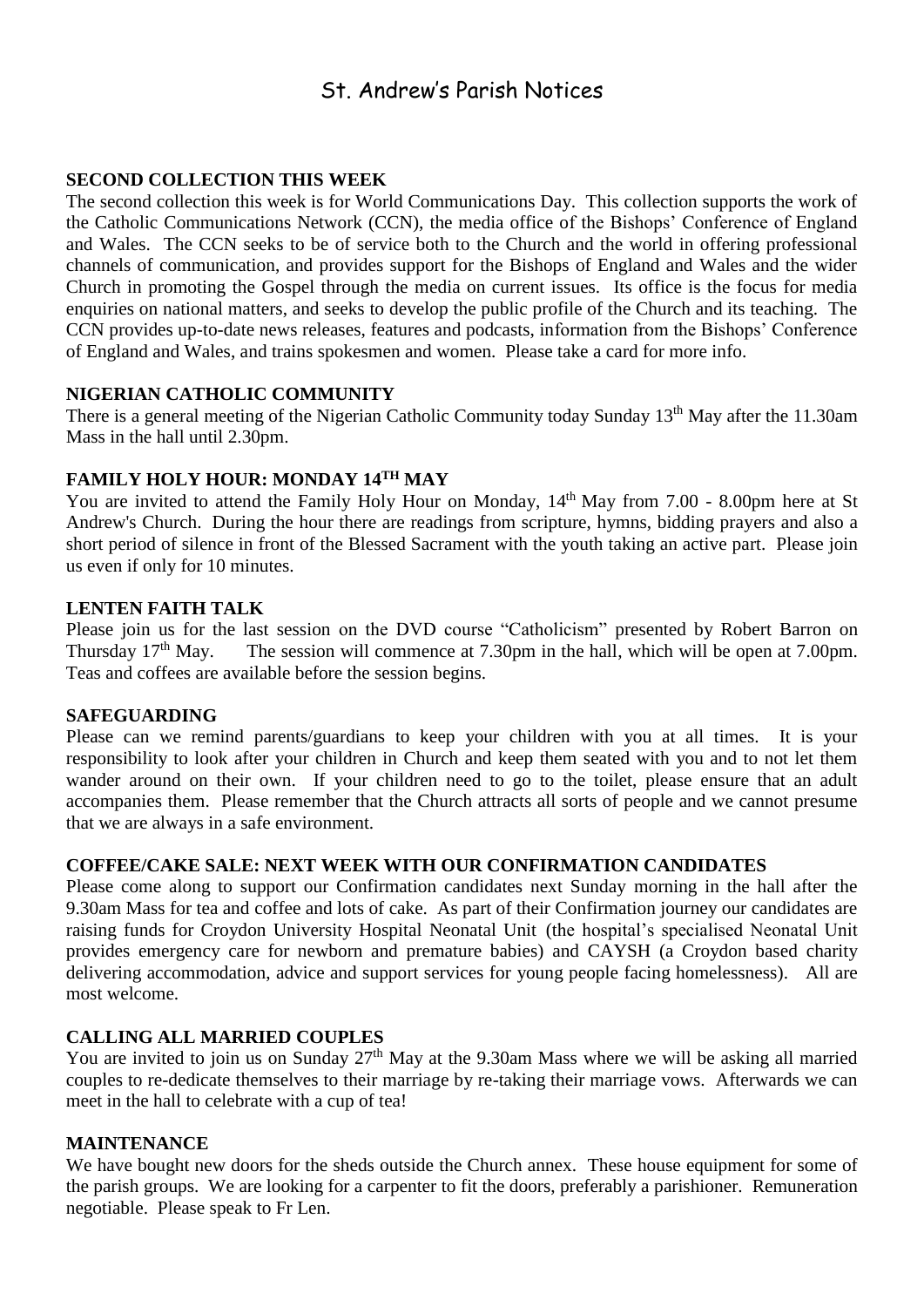### St. Andrew's Parish Notices

#### **SECOND COLLECTION THIS WEEK**

The second collection this week is for World Communications Day. This collection supports the work of the Catholic Communications Network (CCN), the media office of the Bishops' Conference of England and Wales. The CCN seeks to be of service both to the Church and the world in offering professional channels of communication, and provides support for the Bishops of England and Wales and the wider Church in promoting the Gospel through the media on current issues. Its office is the focus for media enquiries on national matters, and seeks to develop the public profile of the Church and its teaching. The CCN provides up-to-date news releases, features and podcasts, information from the Bishops' Conference of England and Wales, and trains spokesmen and women. Please take a card for more info.

#### **NIGERIAN CATHOLIC COMMUNITY**

There is a general meeting of the Nigerian Catholic Community today Sunday 13<sup>th</sup> May after the 11.30am Mass in the hall until 2.30pm.

#### **FAMILY HOLY HOUR: MONDAY 14TH MAY**

You are invited to attend the Family Holy Hour on Monday,  $14<sup>th</sup>$  May from 7.00 - 8.00pm here at St Andrew's Church. During the hour there are readings from scripture, hymns, bidding prayers and also a short period of silence in front of the Blessed Sacrament with the youth taking an active part. Please join us even if only for 10 minutes.

#### **LENTEN FAITH TALK**

Please join us for the last session on the DVD course "Catholicism" presented by Robert Barron on Thursday 17<sup>th</sup> May. The session will commence at 7.30pm in the hall, which will be open at 7.00pm. Teas and coffees are available before the session begins.

#### **SAFEGUARDING**

Please can we remind parents/guardians to keep your children with you at all times. It is your responsibility to look after your children in Church and keep them seated with you and to not let them wander around on their own. If your children need to go to the toilet, please ensure that an adult accompanies them. Please remember that the Church attracts all sorts of people and we cannot presume that we are always in a safe environment.

#### **COFFEE/CAKE SALE: NEXT WEEK WITH OUR CONFIRMATION CANDIDATES**

Please come along to support our Confirmation candidates next Sunday morning in the hall after the 9.30am Mass for tea and coffee and lots of cake. As part of their Confirmation journey our candidates are raising funds for Croydon University Hospital Neonatal Unit (the hospital's specialised Neonatal Unit provides emergency care for newborn and premature babies) and CAYSH (a Croydon based charity delivering accommodation, advice and support services for young people facing homelessness). All are most welcome.

#### **CALLING ALL MARRIED COUPLES**

You are invited to join us on Sunday 27<sup>th</sup> May at the 9.30am Mass where we will be asking all married couples to re-dedicate themselves to their marriage by re-taking their marriage vows. Afterwards we can meet in the hall to celebrate with a cup of tea!

#### **MAINTENANCE**

We have bought new doors for the sheds outside the Church annex. These house equipment for some of the parish groups. We are looking for a carpenter to fit the doors, preferably a parishioner. Remuneration negotiable. Please speak to Fr Len.